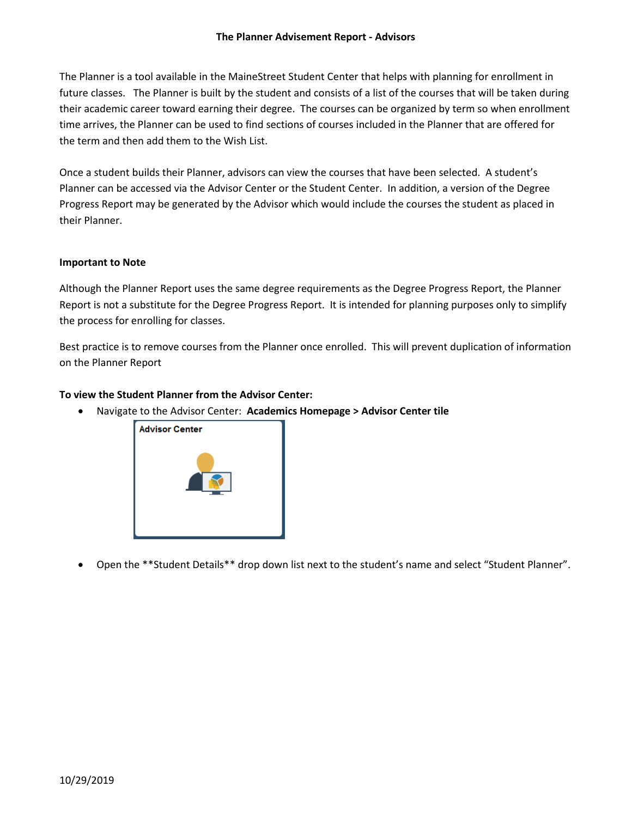The Planner is a tool available in the MaineStreet Student Center that helps with planning for enrollment in future classes. The Planner is built by the student and consists of a list of the courses that will be taken during their academic career toward earning their degree. The courses can be organized by term so when enrollment time arrives, the Planner can be used to find sections of courses included in the Planner that are offered for the term and then add them to the Wish List.

Once a student builds their Planner, advisors can view the courses that have been selected. A student's Planner can be accessed via the Advisor Center or the Student Center. In addition, a version of the Degree Progress Report may be generated by the Advisor which would include the courses the student as placed in their Planner.

## **Important to Note**

Although the Planner Report uses the same degree requirements as the Degree Progress Report, the Planner Report is not a substitute for the Degree Progress Report. It is intended for planning purposes only to simplify the process for enrolling for classes.

Best practice is to remove courses from the Planner once enrolled. This will prevent duplication of information on the Planner Report

## **To view the Student Planner from the Advisor Center:**

Navigate to the Advisor Center: **Academics Homepage > Advisor Center tile**



Open the \*\*Student Details\*\* drop down list next to the student's name and select "Student Planner".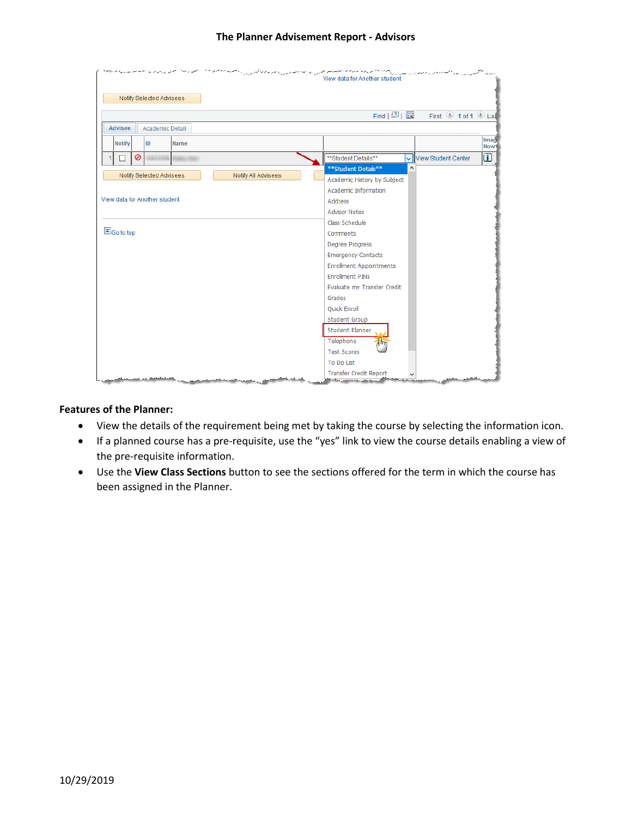|                                    |                     | موارير والمواسير الأسراسية<br>View data for Another student |   | مهجم وسرير براسيها                     |                     |
|------------------------------------|---------------------|-------------------------------------------------------------|---|----------------------------------------|---------------------|
| Notify Selected Advisees           |                     |                                                             |   |                                        |                     |
|                                    |                     | Find $\boxed{2}$ $\boxed{1}$                                |   | First $\bigcirc$ 1 of 1 $\bigcirc$ Las |                     |
| Advisee<br>Academic Detail         |                     |                                                             |   |                                        |                     |
| <b>Notify</b><br>ID<br><b>Name</b> |                     |                                                             |   |                                        | Imag.<br><b>Now</b> |
| Ø                                  |                     | **Student Details**                                         |   | v View Student Center                  | o                   |
|                                    |                     | **Student Details**                                         | ۸ |                                        |                     |
| Notify Selected Advisees           | Notify All Advisees | Academic History by Subject                                 |   |                                        |                     |
|                                    |                     | Academic Information                                        |   |                                        |                     |
| View data for Another student      |                     | <b>Address</b>                                              |   |                                        |                     |
|                                    |                     | <b>Advisor Notes</b>                                        |   |                                        |                     |
|                                    |                     | Class Schedule                                              |   |                                        |                     |
| So to top                          |                     | Comments                                                    |   |                                        |                     |
|                                    |                     | <b>Degree Progress</b>                                      |   |                                        |                     |
|                                    |                     | <b>Emergency Contacts</b>                                   |   |                                        |                     |
|                                    |                     | <b>Enrollment Appointments</b>                              |   |                                        |                     |
|                                    |                     | <b>Enrollment PINs</b>                                      |   |                                        |                     |
|                                    |                     | Evaluate my Transfer Credit                                 |   |                                        |                     |
|                                    |                     | Grades                                                      |   |                                        |                     |
|                                    |                     | <b>Quick Enroll</b>                                         |   |                                        |                     |
|                                    |                     | <b>Student Group</b>                                        |   |                                        |                     |
|                                    |                     | <b>Student Planner</b>                                      |   |                                        |                     |
|                                    |                     | Telephone                                                   |   |                                        |                     |
|                                    |                     | <b>Test Scores</b>                                          |   |                                        |                     |
|                                    |                     | To Do List                                                  |   |                                        |                     |
|                                    |                     | <b>Transfer Credit Report</b>                               |   |                                        |                     |

#### **Features of the Planner:**

- View the details of the requirement being met by taking the course by selecting the information icon.
- If a planned course has a pre-requisite, use the "yes" link to view the course details enabling a view of the pre-requisite information.
- Use the **View Class Sections** button to see the sections offered for the term in which the course has been assigned in the Planner.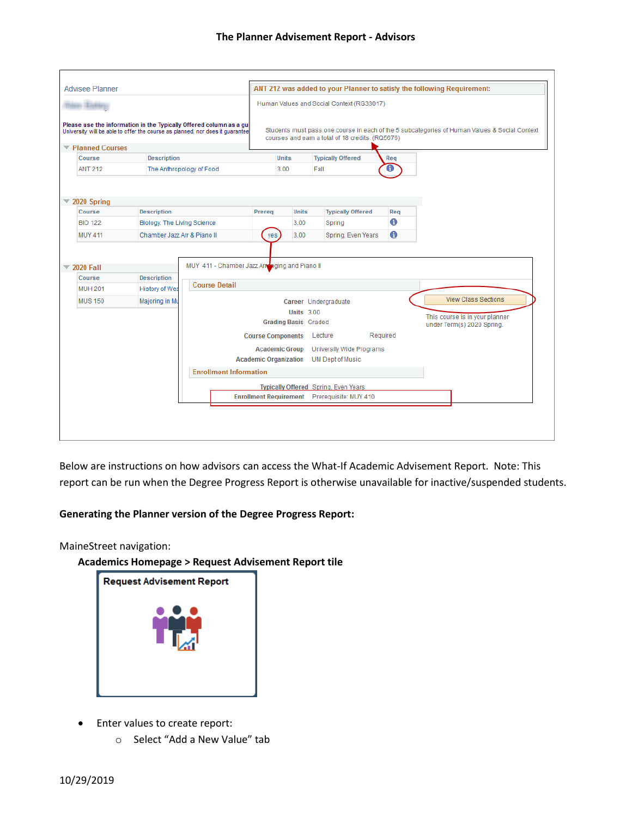| <b>Advisee Planner</b>                                                                                                                                                   |                                             |                                                                       |                          |                                           |                                                  |     | ANT 212 was added to your Planner to satisfy the following Requirement:                       |
|--------------------------------------------------------------------------------------------------------------------------------------------------------------------------|---------------------------------------------|-----------------------------------------------------------------------|--------------------------|-------------------------------------------|--------------------------------------------------|-----|-----------------------------------------------------------------------------------------------|
|                                                                                                                                                                          |                                             |                                                                       |                          | Human Values and Social Context (RG33017) |                                                  |     |                                                                                               |
| Please use the information in the Typically Offered column as a gu<br>University will be able to offer the course as planned, nor does it quarantee<br>▼ Planned Courses |                                             |                                                                       |                          |                                           | courses and earn a total of 18 credits. (RQ5676) |     | Students must pass one course in each of the 5 subcategories of Human Values & Social Context |
| Course                                                                                                                                                                   | <b>Description</b>                          |                                                                       | <b>Units</b>             |                                           | <b>Typically Offered</b>                         | Req |                                                                                               |
| <b>ANT 212</b>                                                                                                                                                           | The Anthropology of Food                    |                                                                       | 3.00                     |                                           | Fall                                             |     |                                                                                               |
|                                                                                                                                                                          |                                             |                                                                       |                          |                                           |                                                  |     |                                                                                               |
| 2020 Spring<br>$\overline{\phantom{a}}$                                                                                                                                  |                                             |                                                                       |                          |                                           |                                                  |     |                                                                                               |
| Course                                                                                                                                                                   | <b>Description</b>                          |                                                                       | Prereq                   | <b>Units</b>                              | <b>Typically Offered</b>                         | Rea |                                                                                               |
| <b>BIO 122</b>                                                                                                                                                           | Biology: The Living Science                 |                                                                       |                          | 3.00                                      | Spring                                           | 6   |                                                                                               |
| <b>MUY 411</b>                                                                                                                                                           | Chamber Jazz Arr & Piano II                 |                                                                       | yes                      | 3.00                                      | Spring, Even Years                               | 6   |                                                                                               |
| <b>2020 Fall</b><br>Course<br><b>MUH 201</b>                                                                                                                             | <b>Description</b><br><b>History of Wes</b> | MUY 411 - Chamber Jazz Arm aging and Piano II<br><b>Course Detail</b> |                          |                                           |                                                  |     |                                                                                               |
| <b>MUS 150</b>                                                                                                                                                           | Majoring in Mu                              |                                                                       |                          |                                           | Career Undergraduate                             |     | <b>View Class Sections</b>                                                                    |
|                                                                                                                                                                          |                                             |                                                                       |                          | <b>Units 3.00</b>                         |                                                  |     |                                                                                               |
|                                                                                                                                                                          |                                             |                                                                       |                          | <b>Grading Basis Graded</b>               |                                                  |     | This course is in your planner<br>under Term(s) 2020 Spring.                                  |
|                                                                                                                                                                          |                                             |                                                                       | <b>Course Components</b> |                                           | Required<br>Lecture                              |     |                                                                                               |
|                                                                                                                                                                          |                                             |                                                                       | <b>Academic Group</b>    |                                           | <b>University Wide Programs</b>                  |     |                                                                                               |
|                                                                                                                                                                          |                                             |                                                                       |                          |                                           | <b>Academic Organization</b> UM Dept of Music    |     |                                                                                               |
|                                                                                                                                                                          |                                             | <b>Enrollment Information</b>                                         |                          |                                           |                                                  |     |                                                                                               |
|                                                                                                                                                                          |                                             |                                                                       |                          |                                           | <b>Typically Offered Spring, Even Years</b>      |     |                                                                                               |
|                                                                                                                                                                          |                                             |                                                                       |                          |                                           | Enrollment Requirement Prerequisite: MUY 410     |     |                                                                                               |

Below are instructions on how advisors can access the What-If Academic Advisement Report. Note: This report can be run when the Degree Progress Report is otherwise unavailable for inactive/suspended students.

## **Generating the Planner version of the Degree Progress Report:**

MaineStreet navigation:

**Academics Homepage > Request Advisement Report tile**



- Enter values to create report:
	- o Select "Add a New Value" tab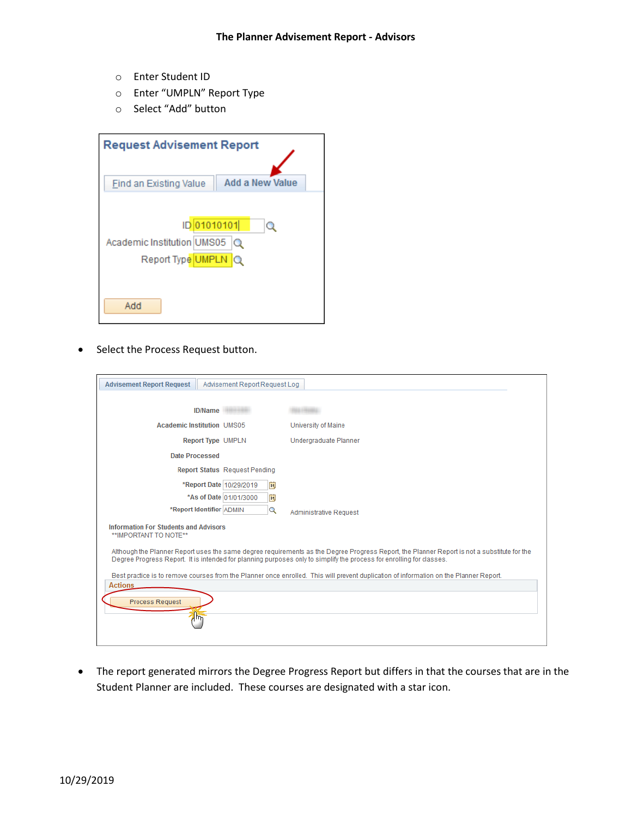- o Enter Student ID
- o Enter "UMPLN" Report Type
- o Select "Add" button

| <b>Request Advisement Report</b>                               |                        |
|----------------------------------------------------------------|------------------------|
| <b>Find an Existing Value</b>                                  | <b>Add a New Value</b> |
| ID 01010101<br>Academic Institution UMS05<br>Report Type UMPLN | Q<br>$\circ$           |
| Add                                                            |                        |

• Select the Process Request button.

| <b>Advisement Report Request</b><br>Advisement Report Request Log                                                    |                                                                                                                                             |
|----------------------------------------------------------------------------------------------------------------------|---------------------------------------------------------------------------------------------------------------------------------------------|
| <b>ID/Name</b>                                                                                                       |                                                                                                                                             |
| <b>Academic Institution UMS05</b>                                                                                    | University of Maine                                                                                                                         |
| <b>Report Type UMPLN</b>                                                                                             | Undergraduate Planner                                                                                                                       |
| Date Processed                                                                                                       |                                                                                                                                             |
| <b>Report Status Request Pending</b>                                                                                 |                                                                                                                                             |
| *Report Date 10/29/2019<br>E                                                                                         |                                                                                                                                             |
| Þij<br>*As of Date 01/01/3000<br>*Report Identifier ADMIN<br>Q                                                       | Administrative Request                                                                                                                      |
| <b>Information For Students and Advisors</b><br>**IMPORTANT TO NOTE**                                                |                                                                                                                                             |
| Degree Progress Report. It is intended for planning purposes only to simplify the process for enrolling for classes. | Although the Planner Report uses the same degree requirements as the Degree Progress Report, the Planner Report is not a substitute for the |
| <b>Actions</b>                                                                                                       | Best practice is to remove courses from the Planner once enrolled. This will prevent duplication of information on the Planner Report.      |
| Process Request                                                                                                      |                                                                                                                                             |
|                                                                                                                      |                                                                                                                                             |
|                                                                                                                      |                                                                                                                                             |

 The report generated mirrors the Degree Progress Report but differs in that the courses that are in the Student Planner are included. These courses are designated with a star icon.